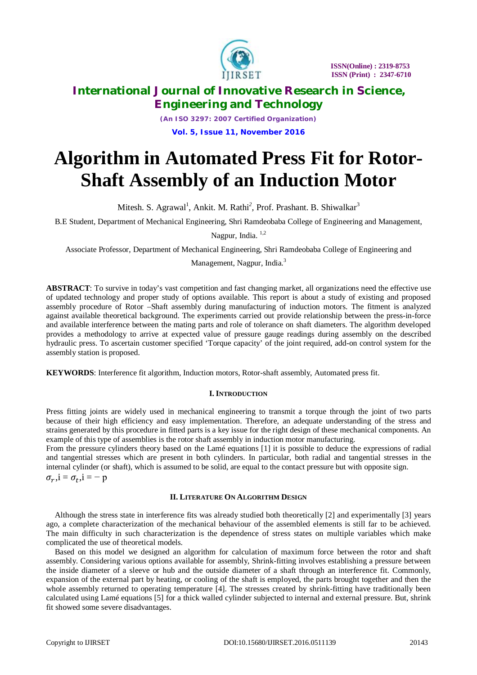

*(An ISO 3297: 2007 Certified Organization)* **Vol. 5, Issue 11, November 2016**

# **Algorithm in Automated Press Fit for Rotor-Shaft Assembly of an Induction Motor**

Mitesh. S. Agrawal<sup>1</sup>, Ankit. M. Rathi<sup>2</sup>, Prof. Prashant. B. Shiwalkar<sup>3</sup>

B.E Student, Department of Mechanical Engineering, Shri Ramdeobaba College of Engineering and Management,

Nagpur, India. 1,2

Associate Professor, Department of Mechanical Engineering, Shri Ramdeobaba College of Engineering and

Management, Nagpur, India.<sup>3</sup>

**ABSTRACT**: To survive in today's vast competition and fast changing market, all organizations need the effective use of updated technology and proper study of options available. This report is about a study of existing and proposed assembly procedure of Rotor –Shaft assembly during manufacturing of induction motors. The fitment is analyzed against available theoretical background. The experiments carried out provide relationship between the press-in-force and available interference between the mating parts and role of tolerance on shaft diameters. The algorithm developed provides a methodology to arrive at expected value of pressure gauge readings during assembly on the described hydraulic press. To ascertain customer specified 'Torque capacity' of the joint required, add-on control system for the assembly station is proposed.

**KEYWORDS**: Interference fit algorithm, Induction motors, Rotor-shaft assembly, Automated press fit.

### **I. INTRODUCTION**

Press fitting joints are widely used in mechanical engineering to transmit a torque through the joint of two parts because of their high efficiency and easy implementation. Therefore, an adequate understanding of the stress and strains generated by this procedure in fitted parts is a key issue for the right design of these mechanical components. An example of this type of assemblies is the rotor shaft assembly in induction motor manufacturing.

From the pressure cylinders theory based on the Lamé equations [1] it is possible to deduce the expressions of radial and tangential stresses which are present in both cylinders. In particular, both radial and tangential stresses in the internal cylinder (or shaft), which is assumed to be solid, are equal to the contact pressure but with opposite sign.

 $\sigma_r$ , i = - p

### **II. LITERATURE ON ALGORITHM DESIGN**

Although the stress state in interference fits was already studied both theoretically [2] and experimentally [3] years ago, a complete characterization of the mechanical behaviour of the assembled elements is still far to be achieved. The main difficulty in such characterization is the dependence of stress states on multiple variables which make complicated the use of theoretical models.

Based on this model we designed an algorithm for calculation of maximum force between the rotor and shaft assembly. Considering various options available for assembly, Shrink-fitting involves establishing a pressure between the inside diameter of a sleeve or hub and the outside diameter of a shaft through an interference fit. Commonly, expansion of the external part by heating, or cooling of the shaft is employed, the parts brought together and then the whole assembly returned to operating temperature [4]. The stresses created by shrink-fitting have traditionally been calculated using Lamé equations [5] for a thick walled cylinder subjected to internal and external pressure. But, shrink fit showed some severe disadvantages.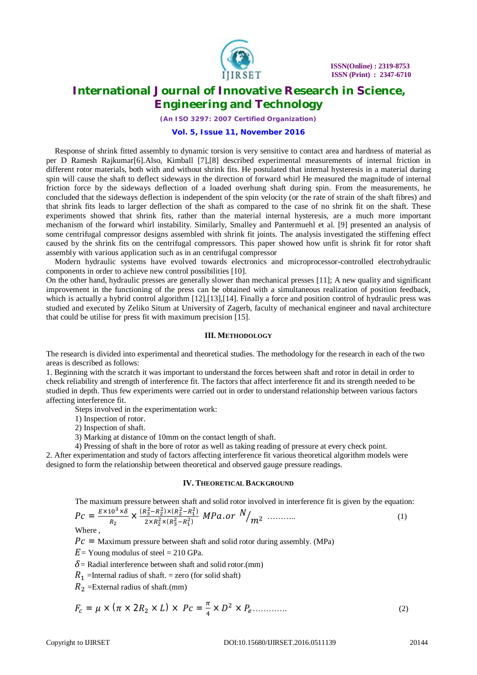

*(An ISO 3297: 2007 Certified Organization)*

#### **Vol. 5, Issue 11, November 2016**

Response of shrink fitted assembly to dynamic torsion is very sensitive to contact area and hardness of material as per D Ramesh Rajkumar[6].Also, Kimball [7],[8] described experimental measurements of internal friction in different rotor materials, both with and without shrink fits. He postulated that internal hysteresis in a material during spin will cause the shaft to deflect sideways in the direction of forward whirl He measured the magnitude of internal friction force by the sideways deflection of a loaded overhung shaft during spin. From the measurements, he concluded that the sideways deflection is independent of the spin velocity (or the rate of strain of the shaft fibres) and that shrink fits leads to larger deflection of the shaft as compared to the case of no shrink fit on the shaft. These experiments showed that shrink fits, rather than the material internal hysteresis, are a much more important mechanism of the forward whirl instability. Similarly, Smalley and Pantermuehl et al. [9] presented an analysis of some centrifugal compressor designs assembled with shrink fit joints. The analysis investigated the stiffening effect caused by the shrink fits on the centrifugal compressors. This paper showed how unfit is shrink fit for rotor shaft assembly with various application such as in an centrifugal compressor

Modern hydraulic systems have evolved towards electronics and microprocessor-controlled electrohydraulic components in order to achieve new control possibilities [10].

On the other hand, hydraulic presses are generally slower than mechanical presses [11]; A new quality and significant improvement in the functioning of the press can be obtained with a simultaneous realization of position feedback, which is actually a hybrid control algorithm [12], [13], [14]. Finally a force and position control of hydraulic press was studied and executed by Zeliko Situm at University of Zagerb, faculty of mechanical engineer and naval architecture that could be utilise for press fit with maximum precision [15].

#### **III. METHODOLOGY**

The research is divided into experimental and theoretical studies. The methodology for the research in each of the two areas is described as follows:

1. Beginning with the scratch it was important to understand the forces between shaft and rotor in detail in order to check reliability and strength of interference fit. The factors that affect interference fit and its strength needed to be studied in depth. Thus few experiments were carried out in order to understand relationship between various factors affecting interference fit.

Steps involved in the experimentation work:

1) Inspection of rotor.

2) Inspection of shaft.

3) Marking at distance of 10mm on the contact length of shaft.

4) Pressing of shaft in the bore of rotor as well as taking reading of pressure at every check point.

2. After experimentation and study of factors affecting interference fit various theoretical algorithm models were designed to form the relationship between theoretical and observed gauge pressure readings.

#### **IV. THEORETICAL BACKGROUND**

The maximum pressure between shaft and solid rotor involved in interference fit is given by the equation:

$$
P c = \frac{E \times 10^3 \times \delta}{R_2} \times \frac{(R_3^2 - R_2^2) \times (R_2^2 - R_1^2)}{2 \times R_2^2 \times (R_3^2 - R_1^2)} \ MPa. \ or \ N_{m2} \ \ \cdots \cdots \cdots \tag{1}
$$

Where ,

 $P_c$  = Maximum pressure between shaft and solid rotor during assembly. (MPa)

 $E =$  Young modulus of steel = 210 GPa.

 $\delta$  = Radial interference between shaft and solid rotor.(mm)

 $R_1$  =Internal radius of shaft. = zero (for solid shaft)

 $R_2$  =External radius of shaft.(mm)

$$
F_c = \mu \times (\pi \times 2R_2 \times L) \times Pc = \frac{\pi}{4} \times D^2 \times P_e \dots \dots \dots \dots \tag{2}
$$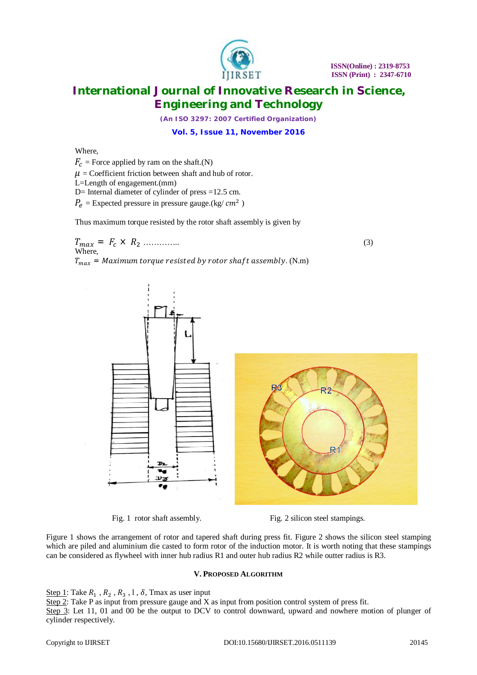

*(An ISO 3297: 2007 Certified Organization)*

**Vol. 5, Issue 11, November 2016**

### Where,

 $F_c$  = Force applied by ram on the shaft.(N)

 $\mu$  = Coefficient friction between shaft and hub of rotor.

L=Length of engagement.(mm)

D= Internal diameter of cylinder of press =12.5 cm.

 $P_e$  = Expected pressure in pressure gauge.(kg/  $cm^2$  )

Thus maximum torque resisted by the rotor shaft assembly is given by

ܶ௫ = ܨ × ܴ<sup>ଶ</sup> ………….. (3) Where,  $T_{max}$  = Maximum torque resisted by rotor shaft assembly. (N.m)



Fig. 1 rotor shaft assembly. Fig. 2 silicon steel stampings.

Figure 1 shows the arrangement of rotor and tapered shaft during press fit. Figure 2 shows the silicon steel stamping which are piled and aluminium die casted to form rotor of the induction motor. It is worth noting that these stampings can be considered as flywheel with inner hub radius R1 and outer hub radius R2 while outter radius is R3.

### **V. PROPOSED ALGORITHM**

Step 1: Take  $R_1$ ,  $R_2$ ,  $R_3$ , 1,  $\delta$ , Tmax as user input

Step 2: Take P as input from pressure gauge and X as input from position control system of press fit. Step 3: Let 11, 01 and 00 be the output to DCV to control downward, upward and nowhere motion of plunger of cylinder respectively.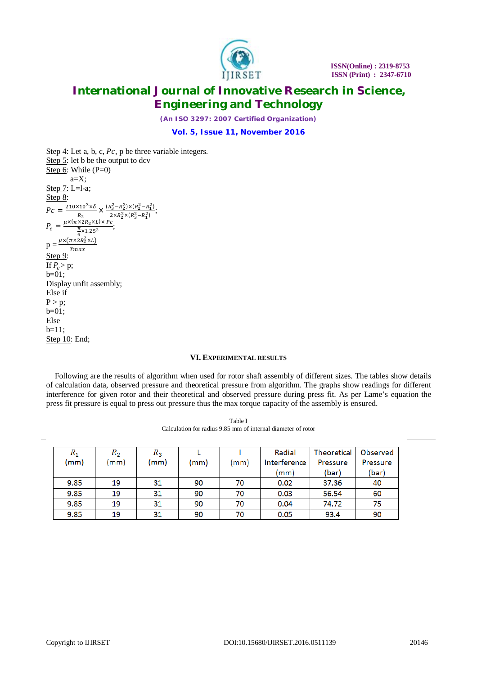

*(An ISO 3297: 2007 Certified Organization)*

**Vol. 5, Issue 11, November 2016**

Step  $4$ : Let a, b, c,  $Pc$ , p be three variable integers. Step 5: let b be the output to dcv Step 6: While (P=0)  $a=X$ ; Step 7: L=l-a; Step 8:  $P_c = \frac{210 \times 10^3 \times \delta}{R} \times \frac{(R_3^2 - R_2^2) \times (R_2^2 - R_1^2)}{R_3 \times R_2^2 \times (R_2^2 - R_1^2)}$  $R_2$  $2 \times R_2^2 \times (R_3^2 - R_1^2)$  $P_e =$  $\frac{\mu \times (\pi \times 2R_2 \times L) \times Pc}{\pi \times 2.57};$  $\frac{\pi}{4}$  × 1.25<sup>2</sup> ర  $p = \frac{\mu \times (\pi \times 2R_2^2 \times L)}{T_{\text{max}}}$  $Tmax$ Step 9: If  $P_e$ > p; b=01; Display unfit assembly; Else if  $P > p$ ;  $b=01;$ Else  $b=11$ ; Step 10: End;

#### **VI. EXPERIMENTAL RESULTS**

Following are the results of algorithm when used for rotor shaft assembly of different sizes. The tables show details of calculation data, observed pressure and theoretical pressure from algorithm. The graphs show readings for different interference for given rotor and their theoretical and observed pressure during press fit. As per Lame's equation the press fit pressure is equal to press out pressure thus the max torque capacity of the assembly is ensured.

| $R_1$ | $R_{2}$ | $R_3$ |      |      | Radial                 | Theoretical | Observed |
|-------|---------|-------|------|------|------------------------|-------------|----------|
| (mm)  | (mm)    | (mm)  | (mm) | (mm) | Interference           | Pressure    | Pressure |
|       |         |       |      |      | $\mathsf{m}\mathsf{m}$ | (bar)       | (bar)    |
| 9.85  | 19      | 31    | 90   | 70   | 0.02                   | 37.36       | 40       |
| 9.85  | 19      | 31    | 90   | 70   | 0.03                   | 56.54       | 60       |
| 9.85  | 19      | 31    | 90   | 70   | 0.04                   | 74.72       | 75       |
| 9.85  | 19      | 31    | 90   | 70   | 0.05                   | 93.4        | 90       |

Table I Calculation for radius 9.85 mm of internal diameter of rotor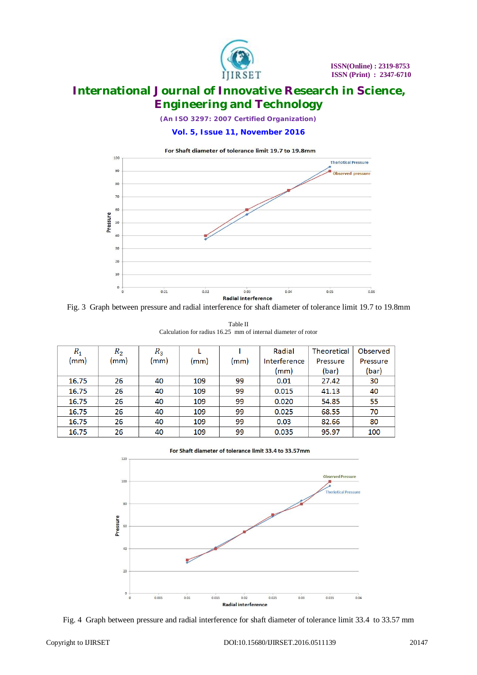

*(An ISO 3297: 2007 Certified Organization)*

**Vol. 5, Issue 11, November 2016**



Fig. 3 Graph between pressure and radial interference for shaft diameter of tolerance limit 19.7 to 19.8mm

Table II Calculation for radius 16.25 mm of internal diameter of rotor

| $R_1$ | $R_2$ | $R_3$ |      |      | Radial       | <b>Theoretical</b> | Observed |
|-------|-------|-------|------|------|--------------|--------------------|----------|
| (mm)  | (mm)  | (mm)  | (mm) | (mm) | Interference | Pressure           | Pressure |
|       |       |       |      |      | (mm)         | (bar)              | (bar)    |
| 16.75 | 26    | 40    | 109  | 99   | 0.01         | 27.42              | 30       |
| 16.75 | 26    | 40    | 109  | 99   | 0.015        | 41.13              | 40       |
| 16.75 | 26    | 40    | 109  | 99   | 0.020        | 54.85              | 55       |
| 16.75 | 26    | 40    | 109  | 99   | 0.025        | 68.55              | 70       |
| 16.75 | 26    | 40    | 109  | 99   | 0.03         | 82.66              | 80       |
| 16.75 | 26    | 40    | 109  | 99   | 0.035        | 95.97              | 100      |

For Shaft diameter of tolerance limit 33.4 to 33.57mm



Fig. 4 Graph between pressure and radial interference for shaft diameter of tolerance limit 33.4 to 33.57 mm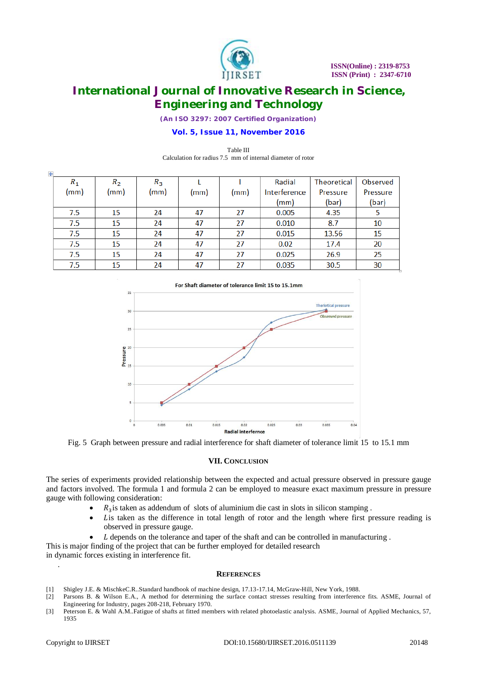

*(An ISO 3297: 2007 Certified Organization)*

### **Vol. 5, Issue 11, November 2016**

#### Table III Calculation for radius 7.5 mm of internal diameter of rotor

| $\ddot{\Phi}$ |         |       |       |      |      |              |                    |          |
|---------------|---------|-------|-------|------|------|--------------|--------------------|----------|
|               | $R_{1}$ | $R_2$ | $R_3$ |      |      | Radial       | <b>Theoretical</b> | Observed |
|               | (mm)    | (mm)  | (mm)  | (mm) | (mm) | Interference | Pressure           | Pressure |
|               |         |       |       |      |      | (mm)         | (bar)              | (bar)    |
|               | 7.5     | 15    | 24    | 47   | 27   | 0.005        | 4.35               | 5        |
|               | 7.5     | 15    | 24    | 47   | 27   | 0.010        | 8.7                | 10       |
|               | 7.5     | 15    | 24    | 47   | 27   | 0.015        | 13.56              | 15       |
|               | 7.5     | 15    | 24    | 47   | 27   | 0.02         | 17.4               | 20       |
|               | 7.5     | 15    | 24    | 47   | 27   | 0.025        | 26.9               | 25       |
|               | 7.5     | 15    | 24    | 47   | 27   | 0.035        | 30.5               | 30       |



Fig. 5 Graph between pressure and radial interference for shaft diameter of tolerance limit 15 to 15.1 mm

#### **VII. CONCLUSION**

The series of experiments provided relationship between the expected and actual pressure observed in pressure gauge and factors involved. The formula 1 and formula 2 can be employed to measure exact maximum pressure in pressure gauge with following consideration:

- $\bullet$   $R_3$  is taken as addendum of slots of aluminium die cast in slots in silicon stamping.
- Lis taken as the difference in total length of rotor and the length where first pressure reading is observed in pressure gauge.
- L depends on the tolerance and taper of the shaft and can be controlled in manufacturing.

This is major finding of the project that can be further employed for detailed research in dynamic forces existing in interference fit.

#### **REFERENCES**

- [1] Shigley J.E. & MischkeC.R..Standard handbook of machine design, 17.13-17.14, McGraw-Hill, New York, 1988.
- [2] Parsons B. & Wilson E.A., A method for determining the surface contact stresses resulting from interference fits. ASME, Journal of Engineering for Industry, pages 208-218, February 1970.
- [3] Peterson E. & Wahl A.M..Fatigue of shafts at fitted members with related photoelastic analysis. ASME, Journal of Applied Mechanics, 57, 1935

.